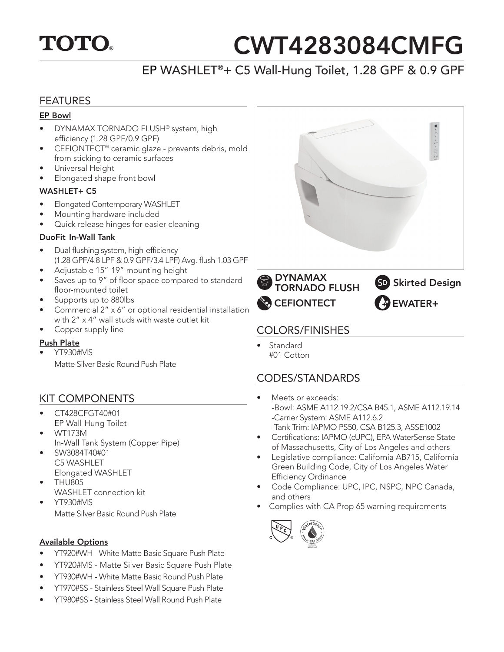

# CWT4283084CMFG

## EP WASHLET®+ C5 Wall-Hung Toilet, 1.28 GPF & 0.9 GPF

## FEATURES

#### EP Bowl

- DYNAMAX TORNADO FLUSH® system, high efficiency (1.28 GPF/0.9 GPF)
- CEFIONTECT® ceramic glaze prevents debris, mold from sticking to ceramic surfaces
- Universal Height
- Elongated shape front bowl

#### WASHLET+ C5

- Elongated Contemporary WASHLET
- Mounting hardware included
- Quick release hinges for easier cleaning

## DuoFit In-Wall Tank

- Dual flushing system, high-efficiency (1.28 GPF/4.8 LPF & 0.9 GPF/3.4 LPF) Avg. flush 1.03 GPF
- Adjustable 15"-19" mounting height
- Saves up to 9" of floor space compared to standard floor-mounted toilet
- Supports up to 880lbs
- Commercial 2" x 6" or optional residential installation with 2" x 4" wall studs with waste outlet kit
- Copper supply line

## Push Plate

• YT930#MS

Matte Silver Basic Round Push Plate

## KIT COMPONENTS

- CT428CFGT40#01 EP Wall-Hung Toilet
- WT173M In-Wall Tank System (Copper Pipe)
- SW3084T40#01
	- C5 WASHLET Elongated WASHLET
	- THU805
- WASHLET connection kit
- YT930#MS Matte Silver Basic Round Push Plate

## Available Options

- YT920#WH White Matte Basic Square Push Plate
- YT920#MS Matte Silver Basic Square Push Plate
- YT930#WH White Matte Basic Round Push Plate
- YT970#SS Stainless Steel Wall Square Push Plate
- YT980#SS Stainless Steel Wall Round Push Plate



## COLORS/FINISHES

• Standard #01 Cotton

## CODES/STANDARDS

- Meets or exceeds: -Bowl: ASME A112.19.2/CSA B45.1, ASME A112.19.14 -Carrier System: ASME A112.6.2
- -Tank Trim: IAPMO PS50, CSA B125.3, ASSE1002 Certifications: IAPMO (cUPC), EPA WaterSense State
- of Massachusetts, City of Los Angeles and others • Legislative compliance: California AB715, California
- Green Building Code, City of Los Angeles Water Efficiency Ordinance
- Code Compliance: UPC, IPC, NSPC, NPC Canada, and others
- Complies with CA Prop 65 warning requirements

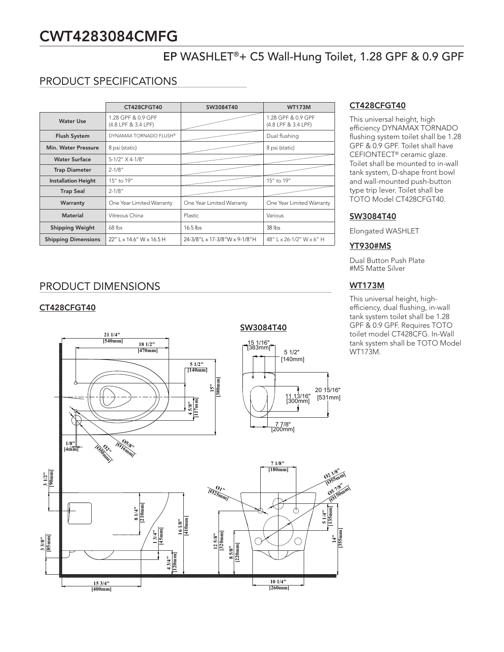# CWT4283084CMFG

## EP WASHLET®+ C5 Wall-Hung Toilet, 1.28 GPF & 0.9 GPF

## PRODUCT SPECIFICATIONS

|                            | CT428CFGT40                               | SW3084T40                     | <b>WT173M</b>                             |
|----------------------------|-------------------------------------------|-------------------------------|-------------------------------------------|
| Water Use                  | 1.28 GPF & 0.9 GPF<br>(4.8 LPF & 3.4 LPF) |                               | 1.28 GPF & 0.9 GPF<br>(4.8 LPF & 3.4 LPF) |
| <b>Flush System</b>        | DYNAMAX TORNADO FLUSH®                    |                               | Dual flushing                             |
| Min. Water Pressure        | 8 psi (static)                            |                               | 8 psi (static)                            |
| <b>Water Surface</b>       | 5-1/2" X 4-1/8"                           |                               |                                           |
| <b>Trap Diameter</b>       | $2 - 1/8"$                                |                               |                                           |
| <b>Installation Height</b> | 15" to 19"                                |                               | 15" to 19"                                |
| <b>Trap Seal</b>           | $2 - 1/8"$                                |                               |                                           |
| Warranty                   | One Year Limited Warranty                 | One Year Limited Warranty     | One Year Limited Warranty                 |
| <b>Material</b>            | Vitreous China                            | <b>Plastic</b>                | Various                                   |
| <b>Shipping Weight</b>     | $68$ lbs                                  | $16.5$ lbs                    | $38$ lbs                                  |
| <b>Shipping Dimensions</b> | 22" L x 14.6" W x 16.5 H                  | 24-3/8"L x 17-3/8"W x 9-1/8"H | 48" L x 26-1/2" W x 6" H                  |

## PRODUCT DIMENSIONS

## CT428CFGT40



#### CT428CFGT40

This universal height, high efficiency DYNAMAX TORNADO flushing system toilet shall be 1.28 GPF & 0.9 GPF. Toilet shall have CEFIONTECT® ceramic glaze. Toilet shall be mounted to in-wall tank system, D-shape front bowl and wall-mounted push-button type trip lever. Toilet shall be TOTO Model CT428CFGT40.

#### SW3084T40

Elongated WASHLET

#### YT930#MS

Dual Button Push Plate #MS Matte Silver

## WT173M

This universal height, highefficiency, dual flushing, in-wall tank system toilet shall be 1.28 GPF & 0.9 GPF. Requires TOTO toilet model CT428CFG. In-Wall tank system shall be TOTO Model WT173M.